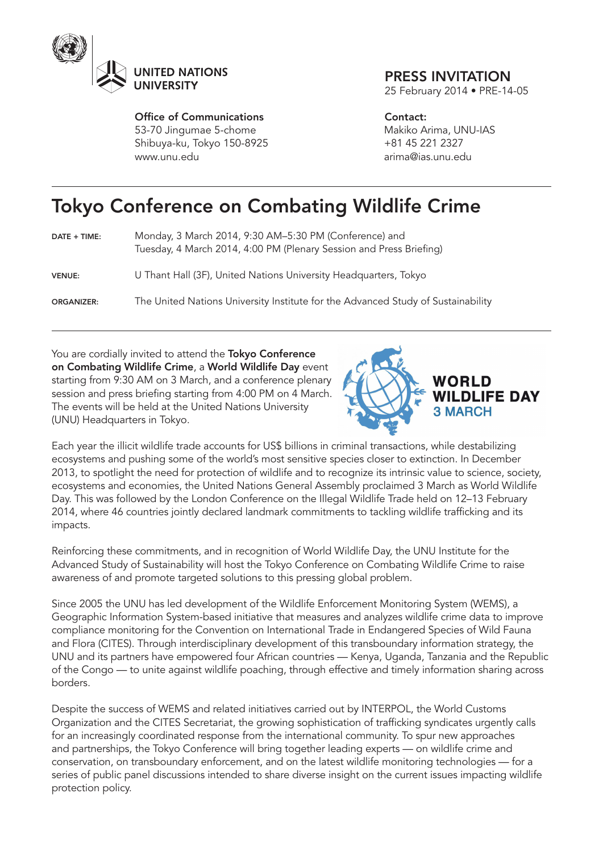

Office of Communications 53-70 Jingumae 5-chome Shibuya-ku, Tokyo 150-8925 www.unu.edu

## PRESS INVITATION

25 February 2014 • PRE-14-05

Contact: Makiko Arima, UNU-IAS +81 45 221 2327 arima@ias.unu.edu

## Tokyo Conference on Combating Wildlife Crime

| DATE + TIME: | Monday, 3 March 2014, 9:30 AM-5:30 PM (Conference) and              |
|--------------|---------------------------------------------------------------------|
|              | Tuesday, 4 March 2014, 4:00 PM (Plenary Session and Press Briefing) |

VENUE: U Thant Hall (3F), United Nations University Headquarters, Tokyo

ORGANIZER: The United Nations University Institute for the Advanced Study of Sustainability

You are cordially invited to attend the Tokyo Conference on Combating Wildlife Crime, a World Wildlife Day event starting from 9:30 AM on 3 March, and a conference plenary session and press briefing starting from 4:00 PM on 4 March. The events will be held at the United Nations University (UNU) Headquarters in Tokyo.



Each year the illicit wildlife trade accounts for US\$ billions in criminal transactions, while destabilizing ecosystems and pushing some of the world's most sensitive species closer to extinction. In December 2013, to spotlight the need for protection of wildlife and to recognize its intrinsic value to science, society, ecosystems and economies, the United Nations General Assembly proclaimed 3 March as World Wildlife Day. This was followed by the London Conference on the Illegal Wildlife Trade held on 12–13 February 2014, where 46 countries jointly declared landmark commitments to tackling wildlife trafficking and its impacts.

Reinforcing these commitments, and in recognition of World Wildlife Day, the UNU Institute for the Advanced Study of Sustainability will host the Tokyo Conference on Combating Wildlife Crime to raise awareness of and promote targeted solutions to this pressing global problem.

Since 2005 the UNU has led development of the Wildlife Enforcement Monitoring System (WEMS), a Geographic Information System-based initiative that measures and analyzes wildlife crime data to improve compliance monitoring for the Convention on International Trade in Endangered Species of Wild Fauna and Flora (CITES). Through interdisciplinary development of this transboundary information strategy, the UNU and its partners have empowered four African countries — Kenya, Uganda, Tanzania and the Republic of the Congo — to unite against wildlife poaching, through effective and timely information sharing across borders.

Despite the success of WEMS and related initiatives carried out by INTERPOL, the World Customs Organization and the CITES Secretariat, the growing sophistication of trafficking syndicates urgently calls for an increasingly coordinated response from the international community. To spur new approaches and partnerships, the Tokyo Conference will bring together leading experts — on wildlife crime and conservation, on transboundary enforcement, and on the latest wildlife monitoring technologies — for a series of public panel discussions intended to share diverse insight on the current issues impacting wildlife protection policy.